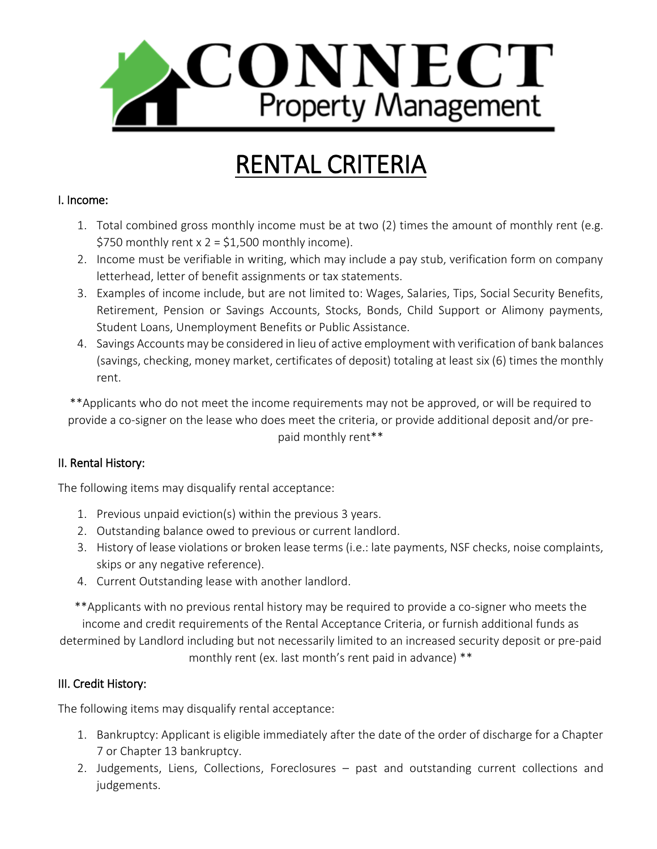

# RENTAL CRITERIA

### I. Income:

- 1. Total combined gross monthly income must be at two (2) times the amount of monthly rent (e.g. \$750 monthly rent  $x = 2 = 1,500$  monthly income).
- 2. Income must be verifiable in writing, which may include a pay stub, verification form on company letterhead, letter of benefit assignments or tax statements.
- 3. Examples of income include, but are not limited to: Wages, Salaries, Tips, Social Security Benefits, Retirement, Pension or Savings Accounts, Stocks, Bonds, Child Support or Alimony payments, Student Loans, Unemployment Benefits or Public Assistance.
- 4. Savings Accounts may be considered in lieu of active employment with verification of bank balances (savings, checking, money market, certificates of deposit) totaling at least six (6) times the monthly rent.

\*\*Applicants who do not meet the income requirements may not be approved, or will be required to provide a co-signer on the lease who does meet the criteria, or provide additional deposit and/or prepaid monthly rent\*\*

## II. Rental History:

The following items may disqualify rental acceptance:

- 1. Previous unpaid eviction(s) within the previous 3 years.
- 2. Outstanding balance owed to previous or current landlord.
- 3. History of lease violations or broken lease terms (i.e.: late payments, NSF checks, noise complaints, skips or any negative reference).
- 4. Current Outstanding lease with another landlord.

\*\*Applicants with no previous rental history may be required to provide a co-signer who meets the income and credit requirements of the Rental Acceptance Criteria, or furnish additional funds as determined by Landlord including but not necessarily limited to an increased security deposit or pre-paid monthly rent (ex. last month's rent paid in advance) \*\*

## III. Credit History:

The following items may disqualify rental acceptance:

- 1. Bankruptcy: Applicant is eligible immediately after the date of the order of discharge for a Chapter 7 or Chapter 13 bankruptcy.
- 2. Judgements, Liens, Collections, Foreclosures past and outstanding current collections and judgements.